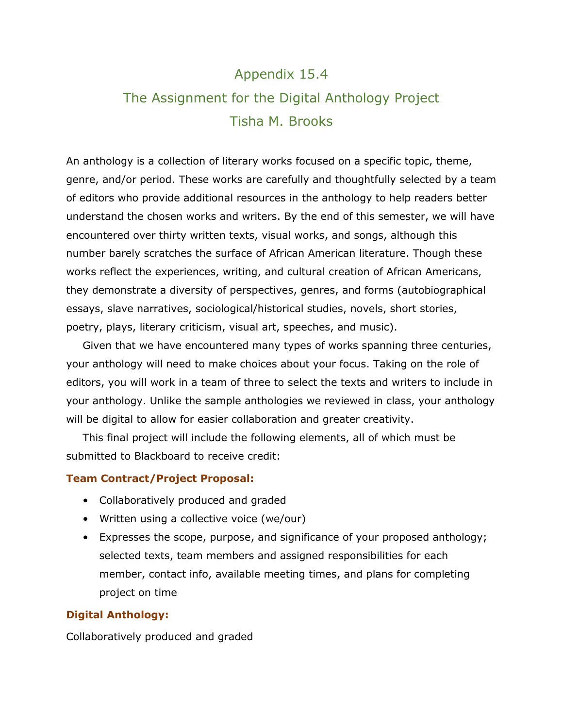# Appendix 15.4 The Assignment for the Digital Anthology Project Tisha M. Brooks

An anthology is a collection of literary works focused on a specific topic, theme, genre, and/or period. These works are carefully and thoughtfully selected by a team of editors who provide additional resources in the anthology to help readers better understand the chosen works and writers. By the end of this semester, we will have encountered over thirty written texts, visual works, and songs, although this number barely scratches the surface of African American literature. Though these works reflect the experiences, writing, and cultural creation of African Americans, they demonstrate a diversity of perspectives, genres, and forms (autobiographical essays, slave narratives, sociological/historical studies, novels, short stories, poetry, plays, literary criticism, visual art, speeches, and music).

Given that we have encountered many types of works spanning three centuries, your anthology will need to make choices about your focus. Taking on the role of editors, you will work in a team of three to select the texts and writers to include in your anthology. Unlike the sample anthologies we reviewed in class, your anthology will be digital to allow for easier collaboration and greater creativity.

This final project will include the following elements, all of which must be submitted to Blackboard to receive credit:

#### **Team Contract/Project Proposal:**

- Collaboratively produced and graded
- Written using a collective voice (we/our)
- Expresses the scope, purpose, and significance of your proposed anthology; selected texts, team members and assigned responsibilities for each member, contact info, available meeting times, and plans for completing project on time

#### **Digital Anthology:**

Collaboratively produced and graded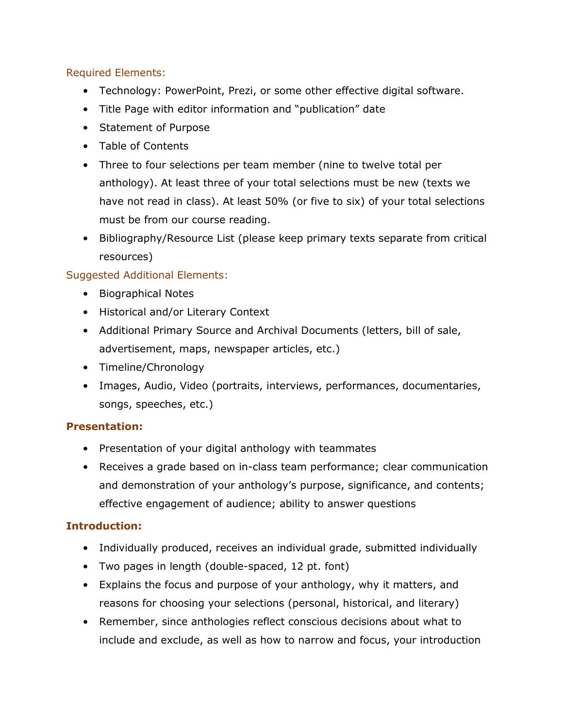### Required Elements:

- Technology: PowerPoint, Prezi, or some other effective digital software.
- Title Page with editor information and "publication" date
- Statement of Purpose
- Table of Contents
- Three to four selections per team member (nine to twelve total per anthology). At least three of your total selections must be new (texts we have not read in class). At least 50% (or five to six) of your total selections must be from our course reading.
- Bibliography/Resource List (please keep primary texts separate from critical resources)

# Suggested Additional Elements:

- Biographical Notes
- Historical and/or Literary Context
- Additional Primary Source and Archival Documents (letters, bill of sale, advertisement, maps, newspaper articles, etc.)
- Timeline/Chronology
- Images, Audio, Video (portraits, interviews, performances, documentaries, songs, speeches, etc.)

# **Presentation:**

- Presentation of your digital anthology with teammates
- Receives a grade based on in-class team performance; clear communication and demonstration of your anthology's purpose, significance, and contents; effective engagement of audience; ability to answer questions

# **Introduction:**

- Individually produced, receives an individual grade, submitted individually
- Two pages in length (double-spaced, 12 pt. font)
- Explains the focus and purpose of your anthology, why it matters, and reasons for choosing your selections (personal, historical, and literary)
- Remember, since anthologies reflect conscious decisions about what to include and exclude, as well as how to narrow and focus, your introduction